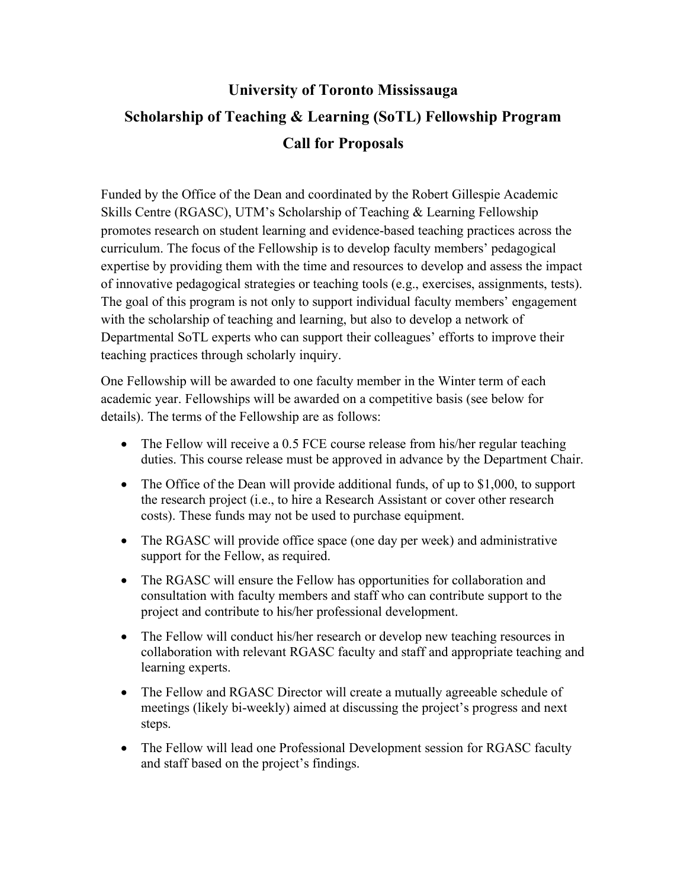## **University of Toronto Mississauga Scholarship of Teaching & Learning (SoTL) Fellowship Program Call for Proposals**

Funded by the Office of the Dean and coordinated by the Robert Gillespie Academic Skills Centre (RGASC), UTM's Scholarship of Teaching & Learning Fellowship promotes research on student learning and evidence-based teaching practices across the curriculum. The focus of the Fellowship is to develop faculty members' pedagogical expertise by providing them with the time and resources to develop and assess the impact of innovative pedagogical strategies or teaching tools (e.g., exercises, assignments, tests). The goal of this program is not only to support individual faculty members' engagement with the scholarship of teaching and learning, but also to develop a network of Departmental SoTL experts who can support their colleagues' efforts to improve their teaching practices through scholarly inquiry.

One Fellowship will be awarded to one faculty member in the Winter term of each academic year. Fellowships will be awarded on a competitive basis (see below for details). The terms of the Fellowship are as follows:

- The Fellow will receive a 0.5 FCE course release from his/her regular teaching duties. This course release must be approved in advance by the Department Chair.
- The Office of the Dean will provide additional funds, of up to \$1,000, to support the research project (i.e., to hire a Research Assistant or cover other research costs). These funds may not be used to purchase equipment.
- The RGASC will provide office space (one day per week) and administrative support for the Fellow, as required.
- The RGASC will ensure the Fellow has opportunities for collaboration and consultation with faculty members and staff who can contribute support to the project and contribute to his/her professional development.
- The Fellow will conduct his/her research or develop new teaching resources in collaboration with relevant RGASC faculty and staff and appropriate teaching and learning experts.
- The Fellow and RGASC Director will create a mutually agreeable schedule of meetings (likely bi-weekly) aimed at discussing the project's progress and next steps.
- The Fellow will lead one Professional Development session for RGASC faculty and staff based on the project's findings.